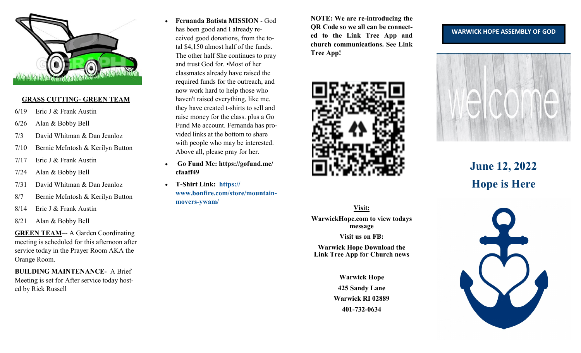

#### **GRASS CUTTING- GREEN TEAM**

- 6/19 Eric J & Frank Austin
- 6/26 Alan & Bobby Bell
- 7/3 David Whitman & Dan Jeanloz
- 7/10 Bernie McIntosh & Kerilyn Button
- 7/17 Eric J & Frank Austin
- 7/24 Alan & Bobby Bell
- 7/31 David Whitman & Dan Jeanloz
- 8/7 Bernie McIntosh & Kerilyn Button
- 8/14 Eric J & Frank Austin
- 8/21 Alan & Bobby Bell

**GREEN TEAM**–- A Garden Coordinating meeting is scheduled for this afternoon after service today in the Prayer Room AKA the Orange Room.

**BUILDING MAINTENANCE-** A Brief Meeting is set for After service today hosted by Rick Russell

- **Fernanda Batista MISSION**  God has been good and I already received good donations, from the total \$4,150 almost half of the funds. The other half She continues to pray and trust God for. •Most of her classmates already have raised the required funds for the outreach, and now work hard to help those who haven't raised everything, like me. they have created t-shirts to sell and raise money for the class. plus a Go Fund Me account. Fernanda has provided links at the bottom to share with people who may be interested. Above all, please pray for her.
- **Go Fund Me: https://gofund.me/ cfaaff49**
- **T-Shirt Link: [https://](https://www.bonfire.com/store/mountain-movers-ywam/) [www.bonfire.com/store/mountain](https://www.bonfire.com/store/mountain-movers-ywam/)movers-[ywam/](https://www.bonfire.com/store/mountain-movers-ywam/)**

**NOTE: We are re-introducing the QR Code so we all can be connected to the Link Tree App and church communications. See Link Tree App!** 



# **Visit:**

**WarwickHope.com to view todays message**

#### **Visit us on FB:**

**Warwick Hope Download the Link Tree App for Church news**

> **Warwick Hope 425 Sandy Lane Warwick RI 02889 401-732-0634**

#### **WARWICK HOPE ASSEMBLY OF GOD**



**June 12, 2022 Hope is Here**